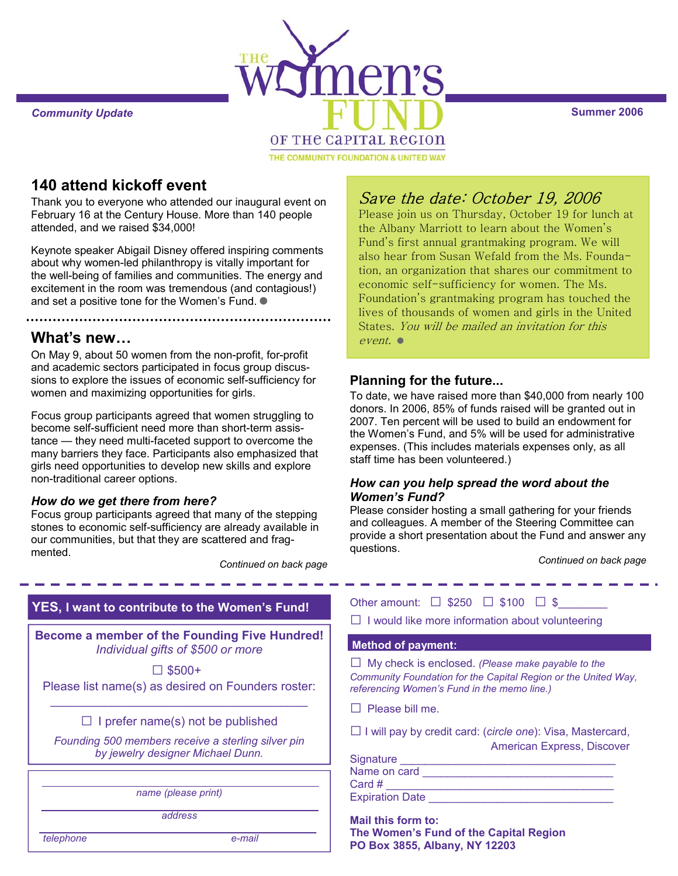

# **140 attend kickoff event**

Thank you to everyone who attended our inaugural event on February 16 at the Century House. More than 140 people attended, and we raised \$34,000!

Keynote speaker Abigail Disney offered inspiring comments about why women-led philanthropy is vitally important for the well-being of families and communities. The energy and excitement in the room was tremendous (and contagious!) and set a positive tone for the Women's Fund.  $\bullet$ 

# **What's new…**

On May 9, about 50 women from the non-profit, for-profit and academic sectors participated in focus group discussions to explore the issues of economic self-sufficiency for women and maximizing opportunities for girls.

Focus group participants agreed that women struggling to become self-sufficient need more than short-term assistance — they need multi-faceted support to overcome the many barriers they face. Participants also emphasized that girls need opportunities to develop new skills and explore non-traditional career options.

### *How do we get there from here?*

Focus group participants agreed that many of the stepping stones to economic self-sufficiency are already available in our communities, but that they are scattered and fragmented.

*Continued on back page* 

# **YES, I want to contribute to the Women's Fund!**

**Become a member of the Founding Five Hundred!** *Individual gifts of \$500 or more*

 □ \$500+ Please list name(s) as desired on Founders roster:

 $\_$  . The contribution of the contribution of  $\mathcal{L}_\mathcal{A}$  $\Box$  I prefer name(s) not be published

*Founding 500 members receive a sterling silver pin by jewelry designer Michael Dunn.* 

hame (please print)

*address* 

 *telephone e-mail* 

# Save the date: October 19, 2006

Please join us on Thursday, October 19 for lunch at the Albany Marriott to learn about the Women's Fund's first annual grantmaking program. We will also hear from Susan Wefald from the Ms. Foundation, an organization that shares our commitment to economic self-sufficiency for women. The Ms. Foundation's grantmaking program has touched the lives of thousands of women and girls in the United States. You will be mailed an invitation for this event.

## **Planning for the future...**

To date, we have raised more than \$40,000 from nearly 100 donors. In 2006, 85% of funds raised will be granted out in 2007. Ten percent will be used to build an endowment for the Women's Fund, and 5% will be used for administrative expenses. (This includes materials expenses only, as all staff time has been volunteered.)

#### *How can you help spread the word about the Women's Fund?*

Please consider hosting a small gathering for your friends and colleagues. A member of the Steering Committee can provide a short presentation about the Fund and answer any questions.

*Continued on back page*

| Other amount: $\Box$ \$250 $\Box$ \$100 $\Box$ \$ |  |  |
|---------------------------------------------------|--|--|

 $\Box$  I would like more information about volunteering

#### **Method of payment:**

□ My check is enclosed. *(Please make payable to the Community Foundation for the Capital Region or the United Way, referencing Women's Fund in the memo line.)* 

 $\Box$  Please bill me.

□ I will pay by credit card: (*circle one*): Visa, Mastercard, American Express, Discover

| Signature              |  |
|------------------------|--|
| Name on card           |  |
| Card $#$               |  |
| <b>Expiration Date</b> |  |

**Mail this form to: The Women's Fund of the Capital Region PO Box 3855, Albany, NY 12203**